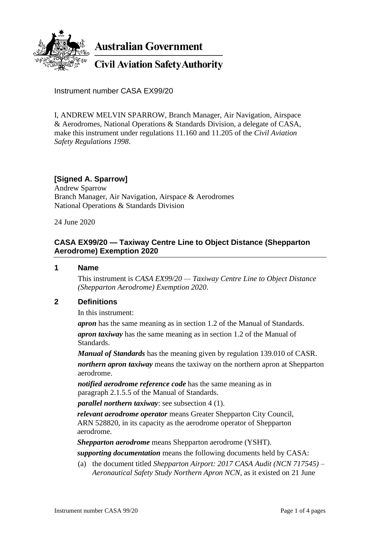

**Australian Government** 

**Civil Aviation Safety Authority** 

Instrument number CASA EX99/20

I, ANDREW MELVIN SPARROW, Branch Manager, Air Navigation, Airspace & Aerodromes, National Operations & Standards Division, a delegate of CASA, make this instrument under regulations 11.160 and 11.205 of the *Civil Aviation Safety Regulations 1998*.

# **[Signed A. Sparrow]**

Andrew Sparrow Branch Manager, Air Navigation, Airspace & Aerodromes National Operations & Standards Division

24 June 2020

## **CASA EX99/20 — Taxiway Centre Line to Object Distance (Shepparton Aerodrome) Exemption 2020**

#### **1 Name**

This instrument is *CASA EX99/20 — Taxiway Centre Line to Object Distance (Shepparton Aerodrome) Exemption 2020*.

### **2 Definitions**

In this instrument:

*apron* has the same meaning as in section 1.2 of the Manual of Standards.

*apron taxiway* has the same meaning as in section 1.2 of the Manual of Standards.

*Manual of Standards* has the meaning given by regulation 139.010 of CASR. *northern apron taxiway* means the taxiway on the northern apron at Shepparton aerodrome.

*notified aerodrome reference code* has the same meaning as in paragraph 2.1.5.5 of the Manual of Standards.

*parallel northern taxiway*: see subsection 4 (1).

*relevant aerodrome operator* means Greater Shepparton City Council, ARN 528820, in its capacity as the aerodrome operator of Shepparton aerodrome.

*Shepparton aerodrome* means Shepparton aerodrome (YSHT).

*supporting documentation* means the following documents held by CASA:

(a) the document titled *Shepparton Airport: 2017 CASA Audit (NCN 717545) – Aeronautical Safety Study Northern Apron NCN*, as it existed on 21 June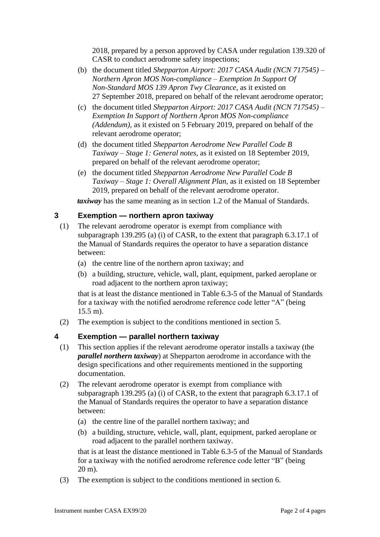2018, prepared by a person approved by CASA under regulation 139.320 of CASR to conduct aerodrome safety inspections;

- (b) the document titled *Shepparton Airport: 2017 CASA Audit (NCN 717545) – Northern Apron MOS Non-compliance – Exemption In Support Of Non-Standard MOS 139 Apron Twy Clearance*, as it existed on 27 September 2018, prepared on behalf of the relevant aerodrome operator;
- (c) the document titled *Shepparton Airport: 2017 CASA Audit (NCN 717545) – Exemption In Support of Northern Apron MOS Non-compliance (Addendum)*, as it existed on 5 February 2019, prepared on behalf of the relevant aerodrome operator;
- (d) the document titled *Shepparton Aerodrome New Parallel Code B Taxiway – Stage 1: General notes*, as it existed on 18 September 2019, prepared on behalf of the relevant aerodrome operator;
- (e) the document titled *Shepparton Aerodrome New Parallel Code B Taxiway – Stage 1: Overall Alignment Plan*, as it existed on 18 September 2019, prepared on behalf of the relevant aerodrome operator.

*taxiway* has the same meaning as in section 1.2 of the Manual of Standards.

### **3 Exemption — northern apron taxiway**

- (1) The relevant aerodrome operator is exempt from compliance with subparagraph 139.295 (a) (i) of CASR, to the extent that paragraph 6.3.17.1 of the Manual of Standards requires the operator to have a separation distance between:
	- (a) the centre line of the northern apron taxiway; and
	- (b) a building, structure, vehicle, wall, plant, equipment, parked aeroplane or road adjacent to the northern apron taxiway;

that is at least the distance mentioned in Table 6.3-5 of the Manual of Standards for a taxiway with the notified aerodrome reference code letter "A" (being 15.5 m).

(2) The exemption is subject to the conditions mentioned in section 5.

### **4 Exemption — parallel northern taxiway**

- (1) This section applies if the relevant aerodrome operator installs a taxiway (the *parallel northern taxiway*) at Shepparton aerodrome in accordance with the design specifications and other requirements mentioned in the supporting documentation.
- (2) The relevant aerodrome operator is exempt from compliance with subparagraph 139.295 (a) (i) of CASR, to the extent that paragraph 6.3.17.1 of the Manual of Standards requires the operator to have a separation distance between:
	- (a) the centre line of the parallel northern taxiway; and
	- (b) a building, structure, vehicle, wall, plant, equipment, parked aeroplane or road adjacent to the parallel northern taxiway.

that is at least the distance mentioned in Table 6.3-5 of the Manual of Standards for a taxiway with the notified aerodrome reference code letter "B" (being 20 m).

(3) The exemption is subject to the conditions mentioned in section 6.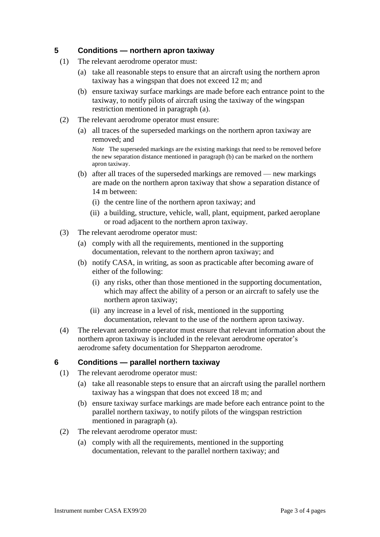### **5 Conditions — northern apron taxiway**

- (1) The relevant aerodrome operator must:
	- (a) take all reasonable steps to ensure that an aircraft using the northern apron taxiway has a wingspan that does not exceed 12 m; and
	- (b) ensure taxiway surface markings are made before each entrance point to the taxiway, to notify pilots of aircraft using the taxiway of the wingspan restriction mentioned in paragraph (a).
- (2) The relevant aerodrome operator must ensure:
	- (a) all traces of the superseded markings on the northern apron taxiway are removed; and

*Note* The superseded markings are the existing markings that need to be removed before the new separation distance mentioned in paragraph (b) can be marked on the northern apron taxiway.

- (b) after all traces of the superseded markings are removed new markings are made on the northern apron taxiway that show a separation distance of 14 m between:
	- (i) the centre line of the northern apron taxiway; and
	- (ii) a building, structure, vehicle, wall, plant, equipment, parked aeroplane or road adjacent to the northern apron taxiway.
- (3) The relevant aerodrome operator must:
	- (a) comply with all the requirements, mentioned in the supporting documentation, relevant to the northern apron taxiway; and
	- (b) notify CASA, in writing, as soon as practicable after becoming aware of either of the following:
		- (i) any risks, other than those mentioned in the supporting documentation, which may affect the ability of a person or an aircraft to safely use the northern apron taxiway;
		- (ii) any increase in a level of risk, mentioned in the supporting documentation, relevant to the use of the northern apron taxiway.
- (4) The relevant aerodrome operator must ensure that relevant information about the northern apron taxiway is included in the relevant aerodrome operator's aerodrome safety documentation for Shepparton aerodrome.

### **6 Conditions — parallel northern taxiway**

- (1) The relevant aerodrome operator must:
	- (a) take all reasonable steps to ensure that an aircraft using the parallel northern taxiway has a wingspan that does not exceed 18 m; and
	- (b) ensure taxiway surface markings are made before each entrance point to the parallel northern taxiway, to notify pilots of the wingspan restriction mentioned in paragraph (a).
- (2) The relevant aerodrome operator must:
	- (a) comply with all the requirements, mentioned in the supporting documentation, relevant to the parallel northern taxiway; and